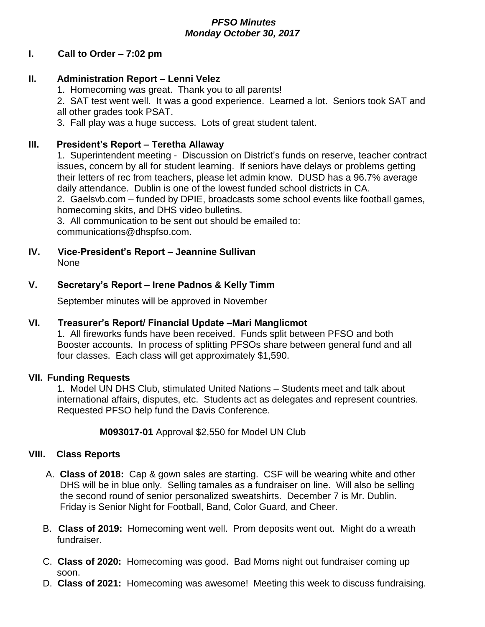## *PFSO Minutes Monday October 30, 2017*

## **I. Call to Order – 7:02 pm**

## **II. Administration Report – Lenni Velez**

1. Homecoming was great. Thank you to all parents!

2. SAT test went well. It was a good experience. Learned a lot. Seniors took SAT and all other grades took PSAT.

3. Fall play was a huge success. Lots of great student talent.

## **III. President's Report – Teretha Allaway**

1. Superintendent meeting - Discussion on District's funds on reserve, teacher contract issues, concern by all for student learning. If seniors have delays or problems getting their letters of rec from teachers, please let admin know. DUSD has a 96.7% average daily attendance. Dublin is one of the lowest funded school districts in CA.

2. Gaelsvb.com – funded by DPIE, broadcasts some school events like football games, homecoming skits, and DHS video bulletins.

3. All communication to be sent out should be emailed to: communications@dhspfso.com.

**IV. Vice-President's Report – Jeannine Sullivan** None

## **V. Secretary's Report – Irene Padnos & Kelly Timm**

September minutes will be approved in November

#### **VI. Treasurer's Report/ Financial Update –Mari Manglicmot**

1. All fireworks funds have been received. Funds split between PFSO and both Booster accounts. In process of splitting PFSOs share between general fund and all four classes. Each class will get approximately \$1,590.

#### **VII. Funding Requests**

1. Model UN DHS Club, stimulated United Nations – Students meet and talk about international affairs, disputes, etc. Students act as delegates and represent countries. Requested PFSO help fund the Davis Conference.

**M093017-01** Approval \$2,550 for Model UN Club

#### **VIII. Class Reports**

- A. **Class of 2018:** Cap & gown sales are starting. CSF will be wearing white and other DHS will be in blue only. Selling tamales as a fundraiser on line. Will also be selling the second round of senior personalized sweatshirts. December 7 is Mr. Dublin. Friday is Senior Night for Football, Band, Color Guard, and Cheer.
- B. **Class of 2019:** Homecoming went well. Prom deposits went out. Might do a wreath fundraiser.
- C. **Class of 2020:** Homecoming was good. Bad Moms night out fundraiser coming up soon.
- D. **Class of 2021:** Homecoming was awesome! Meeting this week to discuss fundraising.